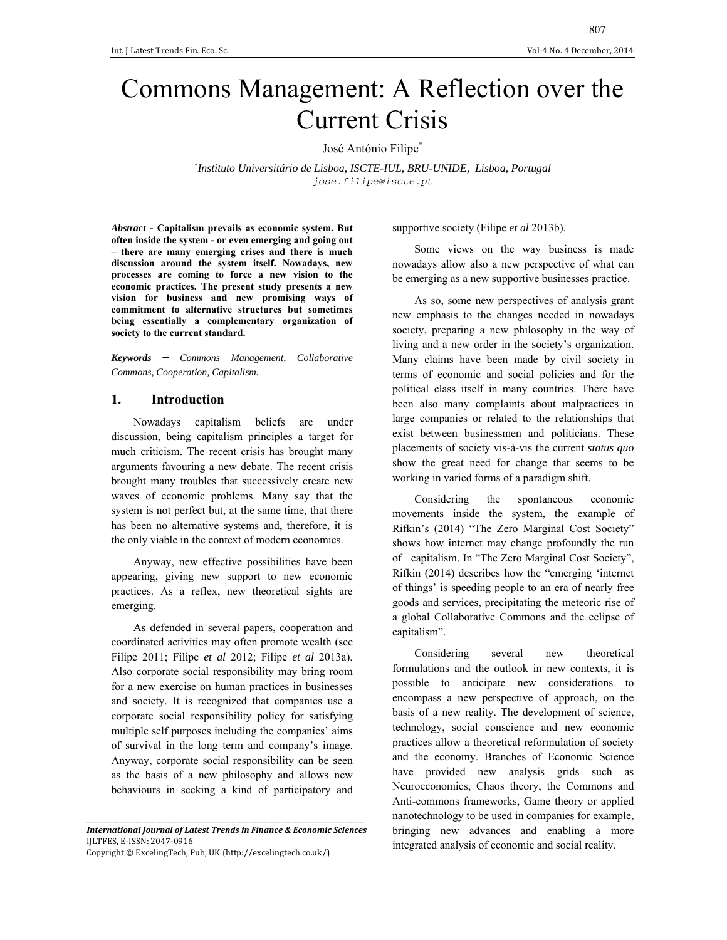# Commons Management: A Reflection over the Current Crisis

José António Filipe\*

\* *Instituto Universitário de Lisboa, ISCTE-IUL, BRU-UNIDE, Lisboa, Portugal jose.filipe@iscte.pt*

*Abstract* - **Capitalism prevails as economic system. But often inside the system - or even emerging and going out – there are many emerging crises and there is much discussion around the system itself. Nowadays, new processes are coming to force a new vision to the economic practices. The present study presents a new vision for business and new promising ways of commitment to alternative structures but sometimes being essentially a complementary organization of society to the current standard.** 

*Keywords* – *Commons Management, Collaborative Commons, Cooperation, Capitalism.* 

### **1. Introduction**

Nowadays capitalism beliefs are under discussion, being capitalism principles a target for much criticism. The recent crisis has brought many arguments favouring a new debate. The recent crisis brought many troubles that successively create new waves of economic problems. Many say that the system is not perfect but, at the same time, that there has been no alternative systems and, therefore, it is the only viable in the context of modern economies.

Anyway, new effective possibilities have been appearing, giving new support to new economic practices. As a reflex, new theoretical sights are emerging.

As defended in several papers, cooperation and coordinated activities may often promote wealth (see Filipe 2011; Filipe *et al* 2012; Filipe *et al* 2013a). Also corporate social responsibility may bring room for a new exercise on human practices in businesses and society. It is recognized that companies use a corporate social responsibility policy for satisfying multiple self purposes including the companies' aims of survival in the long term and company's image. Anyway, corporate social responsibility can be seen as the basis of a new philosophy and allows new behaviours in seeking a kind of participatory and

Copyright © ExcelingTech, Pub, UK (http://excelingtech.co.uk/)

supportive society (Filipe *et al* 2013b).

Some views on the way business is made nowadays allow also a new perspective of what can be emerging as a new supportive businesses practice.

As so, some new perspectives of analysis grant new emphasis to the changes needed in nowadays society, preparing a new philosophy in the way of living and a new order in the society's organization. Many claims have been made by civil society in terms of economic and social policies and for the political class itself in many countries. There have been also many complaints about malpractices in large companies or related to the relationships that exist between businessmen and politicians. These placements of society vis-à-vis the current *status quo* show the great need for change that seems to be working in varied forms of a paradigm shift.

Considering the spontaneous economic movements inside the system, the example of Rifkin's (2014) "The Zero Marginal Cost Society" shows how internet may change profoundly the run of capitalism. In "The Zero Marginal Cost Society", Rifkin (2014) describes how the "emerging 'internet of things' is speeding people to an era of nearly free goods and services, precipitating the meteoric rise of a global Collaborative Commons and the eclipse of capitalism".

Considering several new theoretical formulations and the outlook in new contexts, it is possible to anticipate new considerations to encompass a new perspective of approach, on the basis of a new reality. The development of science, technology, social conscience and new economic practices allow a theoretical reformulation of society and the economy. Branches of Economic Science have provided new analysis grids such as Neuroeconomics, Chaos theory, the Commons and Anti-commons frameworks, Game theory or applied nanotechnology to be used in companies for example, bringing new advances and enabling a more integrated analysis of economic and social reality.

\_\_\_\_\_\_\_\_\_\_\_\_\_\_\_\_\_\_\_\_\_\_\_\_\_\_\_\_\_\_\_\_\_\_\_\_\_\_\_\_\_\_\_\_\_\_\_\_\_\_\_\_\_\_\_\_\_\_\_\_\_\_\_\_\_\_\_\_\_\_\_\_\_\_\_\_\_\_\_\_\_\_\_\_ *International Journal of Latest Trends in Finance & Economic Sciences* IJLTFES, E‐ISSN: 2047‐0916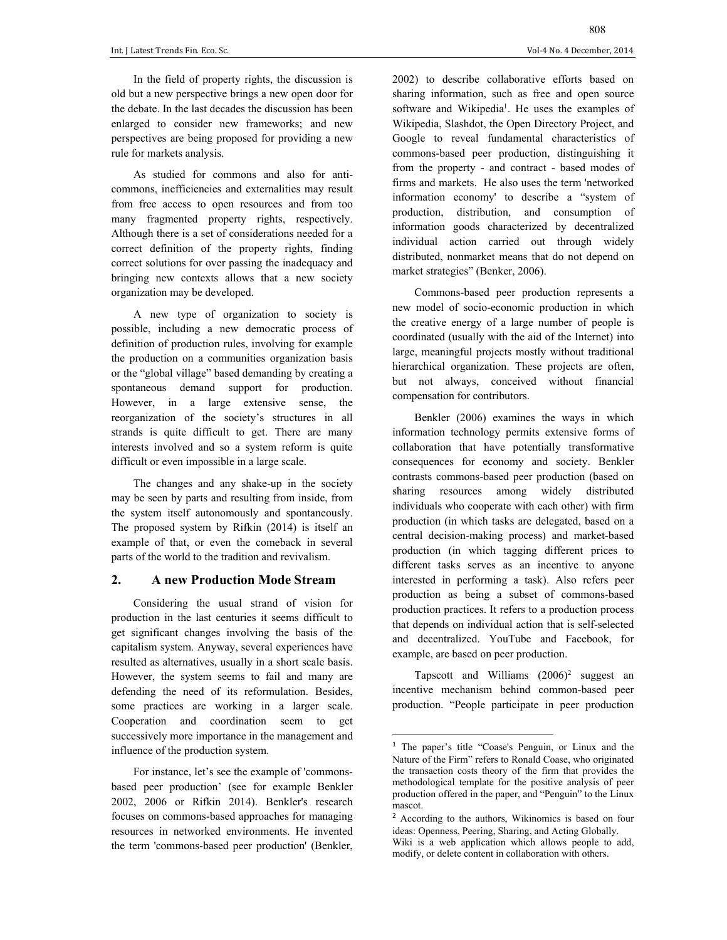In the field of property rights, the discussion is old but a new perspective brings a new open door for the debate. In the last decades the discussion has been enlarged to consider new frameworks; and new perspectives are being proposed for providing a new rule for markets analysis.

As studied for commons and also for anticommons, inefficiencies and externalities may result from free access to open resources and from too many fragmented property rights, respectively. Although there is a set of considerations needed for a correct definition of the property rights, finding correct solutions for over passing the inadequacy and bringing new contexts allows that a new society organization may be developed.

A new type of organization to society is possible, including a new democratic process of definition of production rules, involving for example the production on a communities organization basis or the "global village" based demanding by creating a spontaneous demand support for production. However, in a large extensive sense, the reorganization of the society's structures in all strands is quite difficult to get. There are many interests involved and so a system reform is quite difficult or even impossible in a large scale.

The changes and any shake-up in the society may be seen by parts and resulting from inside, from the system itself autonomously and spontaneously. The proposed system by Rifkin (2014) is itself an example of that, or even the comeback in several parts of the world to the tradition and revivalism.

#### **2. A new Production Mode Stream**

Considering the usual strand of vision for production in the last centuries it seems difficult to get significant changes involving the basis of the capitalism system. Anyway, several experiences have resulted as alternatives, usually in a short scale basis. However, the system seems to fail and many are defending the need of its reformulation. Besides, some practices are working in a larger scale. Cooperation and coordination seem to get successively more importance in the management and influence of the production system.

For instance, let's see the example of 'commonsbased peer production' (see for example Benkler 2002, 2006 or Rifkin 2014). Benkler's research focuses on commons-based approaches for managing resources in networked environments. He invented the term 'commons-based peer production' (Benkler, 808

2002) to describe collaborative efforts based on sharing information, such as free and open source software and Wikipedia<sup>1</sup>. He uses the examples of Wikipedia, Slashdot, the Open Directory Project, and Google to reveal fundamental characteristics of commons-based peer production, distinguishing it from the property - and contract - based modes of firms and markets. He also uses the term 'networked information economy' to describe a "system of production, distribution, and consumption of information goods characterized by decentralized individual action carried out through widely distributed, nonmarket means that do not depend on market strategies" (Benker, 2006).

Commons-based peer production represents a new model of socio-economic production in which the creative energy of a large number of people is coordinated (usually with the aid of the Internet) into large, meaningful projects mostly without traditional hierarchical organization. These projects are often, but not always, conceived without financial compensation for contributors.

Benkler (2006) examines the ways in which information technology permits extensive forms of collaboration that have potentially transformative consequences for economy and society. Benkler contrasts commons-based peer production (based on sharing resources among widely distributed individuals who cooperate with each other) with firm production (in which tasks are delegated, based on a central decision-making process) and market-based production (in which tagging different prices to different tasks serves as an incentive to anyone interested in performing a task). Also refers peer production as being a subset of commons-based production practices. It refers to a production process that depends on individual action that is self-selected and decentralized. YouTube and Facebook, for example, are based on peer production.

Tapscott and Williams  $(2006)^2$  suggest an incentive mechanism behind common-based peer production. "People participate in peer production

<sup>1</sup> The paper's title "Coase's Penguin, or Linux and the Nature of the Firm" refers to Ronald Coase, who originated the transaction costs theory of the firm that provides the methodological template for the positive analysis of peer production offered in the paper, and "Penguin" to the Linux mascot.

<sup>2</sup> According to the authors, Wikinomics is based on four ideas: Openness, Peering, Sharing, and Acting Globally.

Wiki is a web application which allows people to add, modify, or delete content in collaboration with others.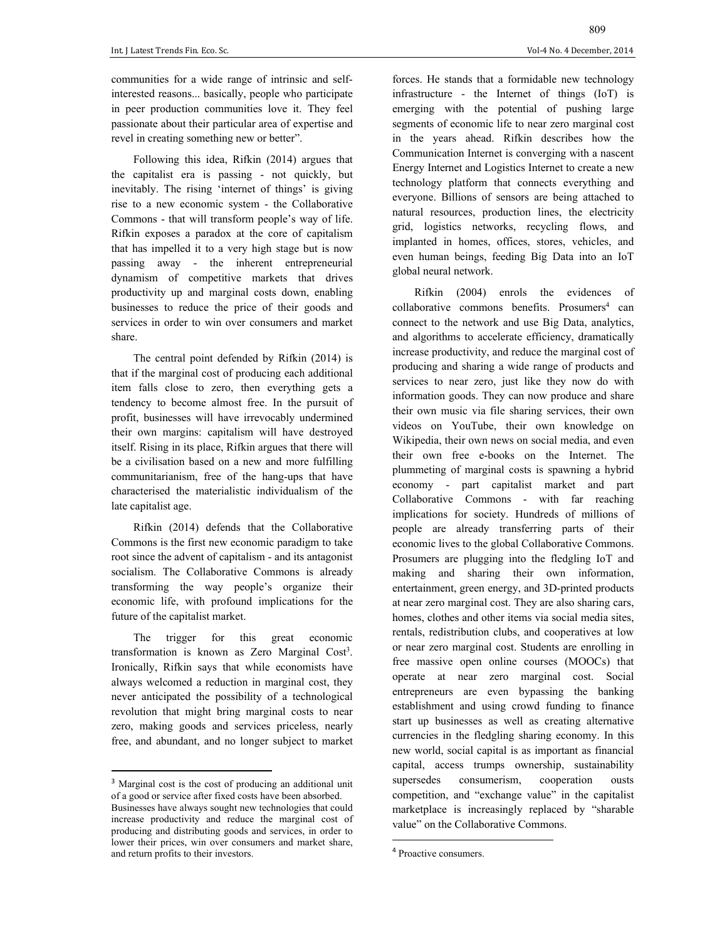communities for a wide range of intrinsic and selfinterested reasons... basically, people who participate in peer production communities love it. They feel passionate about their particular area of expertise and revel in creating something new or better".

Following this idea, Rifkin (2014) argues that the capitalist era is passing - not quickly, but inevitably. The rising 'internet of things' is giving rise to a new economic system - the Collaborative Commons - that will transform people's way of life. Rifkin exposes a paradox at the core of capitalism that has impelled it to a very high stage but is now passing away - the inherent entrepreneurial dynamism of competitive markets that drives productivity up and marginal costs down, enabling businesses to reduce the price of their goods and services in order to win over consumers and market share.

The central point defended by Rifkin (2014) is that if the marginal cost of producing each additional item falls close to zero, then everything gets a tendency to become almost free. In the pursuit of profit, businesses will have irrevocably undermined their own margins: capitalism will have destroyed itself. Rising in its place, Rifkin argues that there will be a civilisation based on a new and more fulfilling communitarianism, free of the hang-ups that have characterised the materialistic individualism of the late capitalist age.

Rifkin (2014) defends that the Collaborative Commons is the first new economic paradigm to take root since the advent of capitalism - and its antagonist socialism. The Collaborative Commons is already transforming the way people's organize their economic life, with profound implications for the future of the capitalist market.

The trigger for this great economic transformation is known as Zero Marginal Cost<sup>3</sup>. Ironically, Rifkin says that while economists have always welcomed a reduction in marginal cost, they never anticipated the possibility of a technological revolution that might bring marginal costs to near zero, making goods and services priceless, nearly free, and abundant, and no longer subject to market

segments of economic life to near zero marginal cost in the years ahead. Rifkin describes how the Communication Internet is converging with a nascent Energy Internet and Logistics Internet to create a new technology platform that connects everything and everyone. Billions of sensors are being attached to natural resources, production lines, the electricity grid, logistics networks, recycling flows, and implanted in homes, offices, stores, vehicles, and even human beings, feeding Big Data into an IoT global neural network.

Rifkin (2004) enrols the evidences of collaborative commons benefits. Prosumers<sup>4</sup> can connect to the network and use Big Data, analytics, and algorithms to accelerate efficiency, dramatically increase productivity, and reduce the marginal cost of producing and sharing a wide range of products and services to near zero, just like they now do with information goods. They can now produce and share their own music via file sharing services, their own videos on YouTube, their own knowledge on Wikipedia, their own news on social media, and even their own free e-books on the Internet. The plummeting of marginal costs is spawning a hybrid economy - part capitalist market and part Collaborative Commons - with far reaching implications for society. Hundreds of millions of people are already transferring parts of their economic lives to the global Collaborative Commons. Prosumers are plugging into the fledgling IoT and making and sharing their own information, entertainment, green energy, and 3D-printed products at near zero marginal cost. They are also sharing cars, homes, clothes and other items via social media sites, rentals, redistribution clubs, and cooperatives at low or near zero marginal cost. Students are enrolling in free massive open online courses (MOOCs) that operate at near zero marginal cost. Social entrepreneurs are even bypassing the banking establishment and using crowd funding to finance start up businesses as well as creating alternative currencies in the fledgling sharing economy. In this new world, social capital is as important as financial capital, access trumps ownership, sustainability supersedes consumerism, cooperation ousts competition, and "exchange value" in the capitalist marketplace is increasingly replaced by "sharable value" on the Collaborative Commons.

<sup>3</sup> Marginal cost is the cost of producing an additional unit of a good or service after fixed costs have been absorbed. Businesses have always sought new technologies that could increase productivity and reduce the marginal cost of producing and distributing goods and services, in order to lower their prices, win over consumers and market share, and return profits to their investors.

<sup>4</sup> Proactive consumers.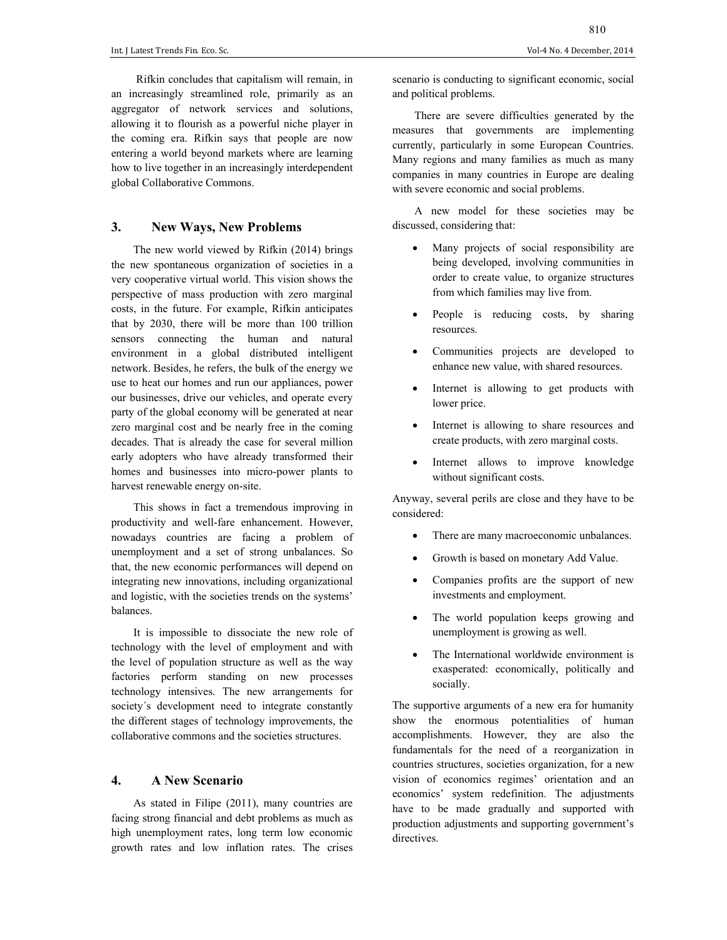Rifkin concludes that capitalism will remain, in an increasingly streamlined role, primarily as an aggregator of network services and solutions, allowing it to flourish as a powerful niche player in the coming era. Rifkin says that people are now entering a world beyond markets where are learning how to live together in an increasingly interdependent global Collaborative Commons.

## **3. New Ways, New Problems**

The new world viewed by Rifkin (2014) brings the new spontaneous organization of societies in a very cooperative virtual world. This vision shows the perspective of mass production with zero marginal costs, in the future. For example, Rifkin anticipates that by 2030, there will be more than 100 trillion sensors connecting the human and natural environment in a global distributed intelligent network. Besides, he refers, the bulk of the energy we use to heat our homes and run our appliances, power our businesses, drive our vehicles, and operate every party of the global economy will be generated at near zero marginal cost and be nearly free in the coming decades. That is already the case for several million early adopters who have already transformed their homes and businesses into micro-power plants to harvest renewable energy on-site.

This shows in fact a tremendous improving in productivity and well-fare enhancement. However, nowadays countries are facing a problem of unemployment and a set of strong unbalances. So that, the new economic performances will depend on integrating new innovations, including organizational and logistic, with the societies trends on the systems' balances.

It is impossible to dissociate the new role of technology with the level of employment and with the level of population structure as well as the way factories perform standing on new processes technology intensives. The new arrangements for society´s development need to integrate constantly the different stages of technology improvements, the collaborative commons and the societies structures.

## **4. A New Scenario**

As stated in Filipe (2011), many countries are facing strong financial and debt problems as much as high unemployment rates, long term low economic growth rates and low inflation rates. The crises

scenario is conducting to significant economic, social and political problems.

There are severe difficulties generated by the measures that governments are implementing currently, particularly in some European Countries. Many regions and many families as much as many companies in many countries in Europe are dealing with severe economic and social problems.

A new model for these societies may be discussed, considering that:

- Many projects of social responsibility are being developed, involving communities in order to create value, to organize structures from which families may live from.
- People is reducing costs, by sharing resources.
- Communities projects are developed to enhance new value, with shared resources.
- Internet is allowing to get products with lower price.
- Internet is allowing to share resources and create products, with zero marginal costs.
- Internet allows to improve knowledge without significant costs.

Anyway, several perils are close and they have to be considered:

- There are many macroeconomic unbalances.
- Growth is based on monetary Add Value.
- Companies profits are the support of new investments and employment.
- The world population keeps growing and unemployment is growing as well.
- The International worldwide environment is exasperated: economically, politically and socially.

The supportive arguments of a new era for humanity show the enormous potentialities of human accomplishments. However, they are also the fundamentals for the need of a reorganization in countries structures, societies organization, for a new vision of economics regimes' orientation and an economics' system redefinition. The adjustments have to be made gradually and supported with production adjustments and supporting government's directives.